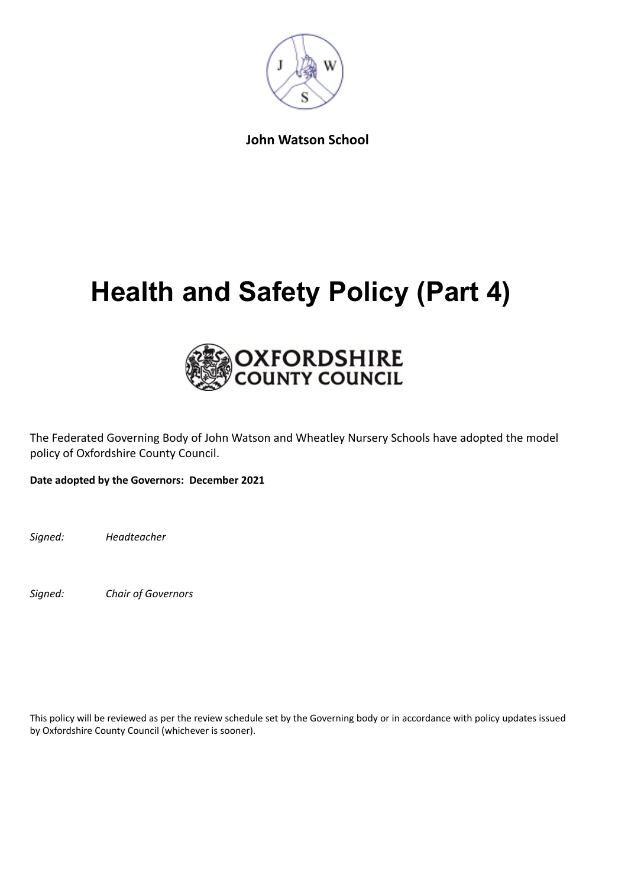

**John Watson School**

# **Health and Safety Policy (Part 4)**



The Federated Governing Body of John Watson and Wheatley Nursery Schools have adopted the model policy of Oxfordshire County Council.

**Date adopted by the Governors: December 2021**

*Signed: Headteacher*

*Signed: Chair of Governors*

This policy will be reviewed as per the review schedule set by the Governing body or in accordance with policy updates issued by Oxfordshire County Council (whichever is sooner).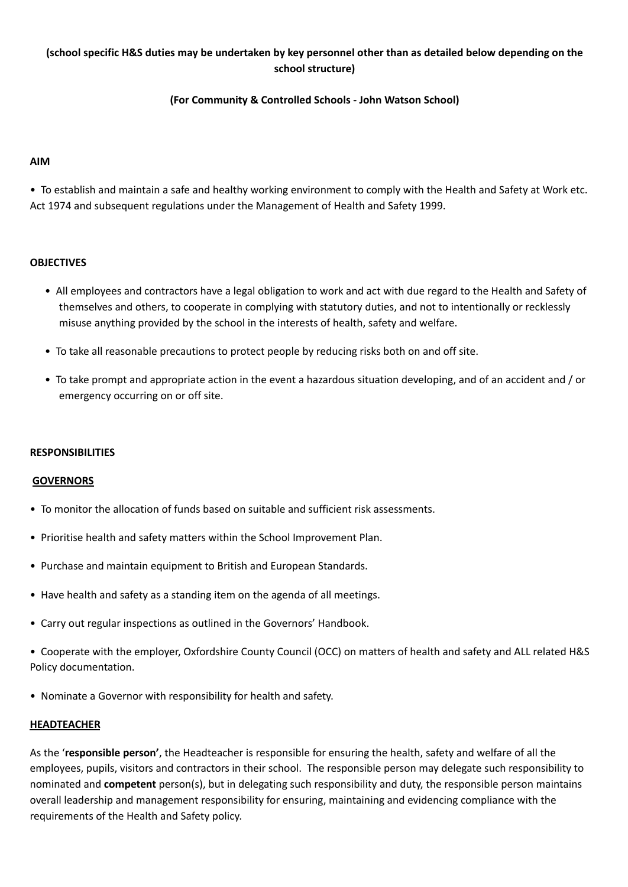# (school specific H&S duties may be undertaken by key personnel other than as detailed below depending on the **school structure)**

## **(For Community & Controlled Schools - John Watson School)**

#### **AIM**

• To establish and maintain a safe and healthy working environment to comply with the Health and Safety at Work etc. Act 1974 and subsequent regulations under the Management of Health and Safety 1999.

### **OBJECTIVES**

- All employees and contractors have a legal obligation to work and act with due regard to the Health and Safety of themselves and others, to cooperate in complying with statutory duties, and not to intentionally or recklessly misuse anything provided by the school in the interests of health, safety and welfare.
- To take all reasonable precautions to protect people by reducing risks both on and off site.
- To take prompt and appropriate action in the event a hazardous situation developing, and of an accident and / or emergency occurring on or off site.

#### **RESPONSIBILITIES**

#### **GOVERNORS**

- To monitor the allocation of funds based on suitable and sufficient risk assessments.
- Prioritise health and safety matters within the School Improvement Plan.
- Purchase and maintain equipment to British and European Standards.
- Have health and safety as a standing item on the agenda of all meetings.
- Carry out regular inspections as outlined in the Governors' Handbook.

• Cooperate with the employer, Oxfordshire County Council (OCC) on matters of health and safety and ALL related H&S Policy documentation.

• Nominate a Governor with responsibility for health and safety.

#### **HEADTEACHER**

As the '**responsible person'**, the Headteacher is responsible for ensuring the health, safety and welfare of all the employees, pupils, visitors and contractors in their school. The responsible person may delegate such responsibility to nominated and **competent** person(s), but in delegating such responsibility and duty, the responsible person maintains overall leadership and management responsibility for ensuring, maintaining and evidencing compliance with the requirements of the Health and Safety policy.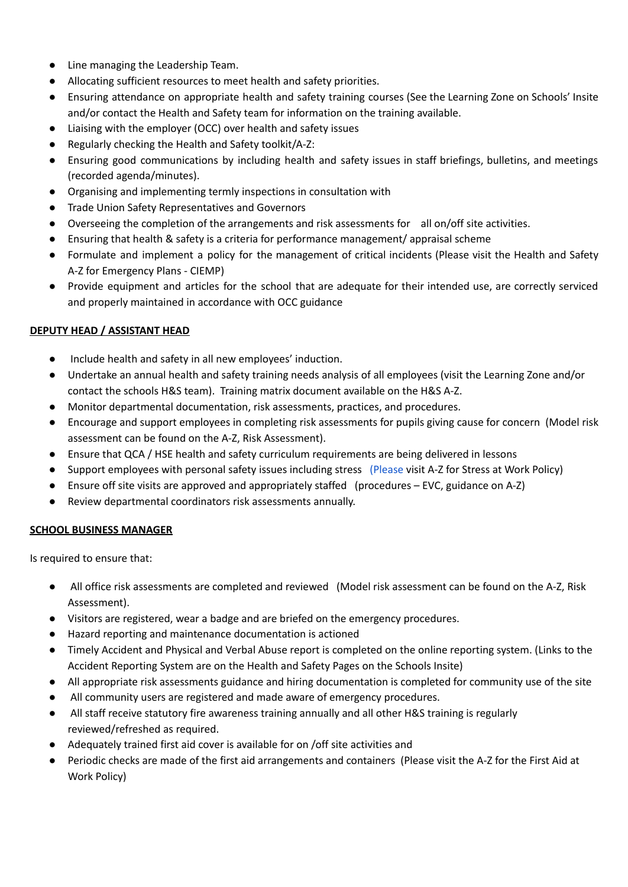- Line managing the Leadership Team.
- Allocating sufficient resources to meet health and safety priorities.
- Ensuring attendance on appropriate health and safety training courses (See the Learning Zone on Schools' Insite and/or contact the Health and Safety team for information on the training available.
- Liaising with the employer (OCC) over health and safety issues
- Regularly checking the Health and Safety toolkit/A-Z:
- Ensuring good communications by including health and safety issues in staff briefings, bulletins, and meetings (recorded agenda/minutes).
- Organising and implementing termly inspections in consultation with
- Trade Union Safety Representatives and Governors
- Overseeing the completion of the arrangements and risk assessments for all on/off site activities.
- Ensuring that health & safety is a criteria for performance management/ appraisal scheme
- Formulate and implement a policy for the management of critical incidents (Please visit the Health and Safety A-Z for Emergency Plans - CIEMP)
- Provide equipment and articles for the school that are adequate for their intended use, are correctly serviced and properly maintained in accordance with OCC guidance

## **DEPUTY HEAD / ASSISTANT HEAD**

- Include health and safety in all new employees' induction.
- Undertake an annual health and safety training needs analysis of all employees (visit the Learning Zone and/or contact the schools H&S team). Training matrix document available on the H&S A-Z.
- Monitor departmental documentation, risk assessments, practices, and procedures.
- Encourage and support employees in completing risk assessments for pupils giving cause for concern (Model risk assessment can be found on the A-Z, Risk Assessment).
- Ensure that QCA / HSE health and safety curriculum requirements are being delivered in lessons
- Support employees with personal safety issues including stress [\(Please](http://portal.oxfordshire.gov.uk/content/public/LandC/Resources/healthsafe/s/strpre.pdf) visit A-Z for Stress at Work Policy)
- Ensure off site visits are approved and appropriately staffed (procedures EVC, guidance on A-Z)
- Review departmental coordinators risk assessments annually.

## **SCHOOL BUSINESS MANAGER**

Is required to ensure that:

- All office risk assessments are completed and reviewed (Model risk assessment can be found on the A-Z, Risk Assessment).
- Visitors are registered, wear a badge and are briefed on the emergency procedures.
- Hazard reporting and maintenance documentation is actioned
- Timely Accident and Physical and Verbal Abuse report is completed on the online reporting system. (Links to the Accident Reporting System are on the Health and Safety Pages on the Schools Insite)
- All appropriate risk assessments guidance and hiring documentation is completed for community use of the site
- All community users are registered and made aware of emergency procedures.
- All staff receive statutory fire awareness training annually and all other H&S training is regularly reviewed/refreshed as required.
- Adequately trained first aid cover is available for on /off site activities and
- Periodic checks are made of the first aid arrangements and containers (Please visit the A-Z for the First Aid at Work Policy)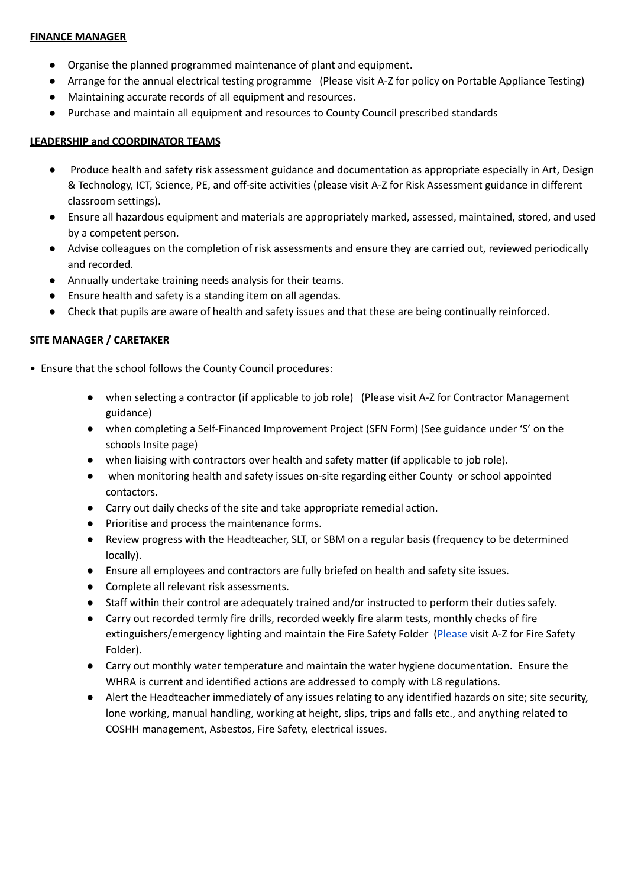#### **FINANCE MANAGER**

- Organise the planned programmed maintenance of plant and equipment.
- Arrange for the annual electrical testing programme (Please visit A-Z for policy on Portable Appliance Testing)
- Maintaining accurate records of all equipment and resources.
- Purchase and maintain all equipment and resources to County Council prescribed standards

### **LEADERSHIP and COORDINATOR TEAMS**

- Produce health and safety risk assessment guidance and documentation as appropriate especially in Art, Design & Technology, ICT, Science, PE, and off-site activities (please visit A-Z for Risk Assessment guidance in different classroom settings).
- Ensure all hazardous equipment and materials are appropriately marked, assessed, maintained, stored, and used by a competent person.
- Advise colleagues on the completion of risk assessments and ensure they are carried out, reviewed periodically and recorded.
- Annually undertake training needs analysis for their teams.
- Ensure health and safety is a standing item on all agendas.
- Check that pupils are aware of health and safety issues and that these are being continually reinforced.

## **SITE MANAGER / CARETAKER**

- Ensure that the school follows the County Council procedures:
	- when selecting a contractor (if applicable to job role) (Please visit A-Z for Contractor Management guidance)
	- when completing a Self-Financed Improvement Project (SFN Form) (See guidance under 'S' on the schools Insite page)
	- when liaising with contractors over health and safety matter (if applicable to job role).
	- when monitoring health and safety issues on-site regarding either County or school appointed contactors.
	- Carry out daily checks of the site and take appropriate remedial action.
	- Prioritise and process the maintenance forms.
	- Review progress with the Headteacher, SLT, or SBM on a regular basis (frequency to be determined locally).
	- Ensure all employees and contractors are fully briefed on health and safety site issues.
	- Complete all relevant risk assessments.
	- Staff within their control are adequately trained and/or instructed to perform their duties safely.
	- Carry out recorded termly fire drills, recorded weekly fire alarm tests, monthly checks of fire extinguishers/emergency lighting and maintain the Fire Safety Folder [\(Please](http://intranet.oxfordshire.gov.uk/links/intranet/cypfhealthandsafety) visit A-Z for Fire Safety Folder).
	- Carry out monthly water temperature and maintain the water hygiene documentation. Ensure the WHRA is current and identified actions are addressed to comply with L8 regulations.
	- Alert the Headteacher immediately of any issues relating to any identified hazards on site; site security, lone working, manual handling, working at height, slips, trips and falls etc., and anything related to COSHH management, Asbestos, Fire Safety, electrical issues.